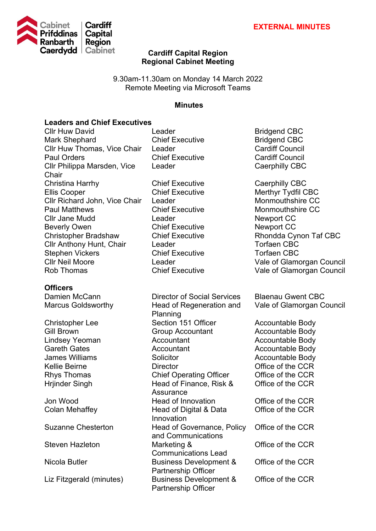

# **Cardiff Capital Region Regional Cabinet Meeting**

9.30am-11.30am on Monday 14 March 2022 Remote Meeting via Microsoft Teams

#### **Minutes**

## **Leaders and Chief Executives**

Cllr Huw David **Leader Cllr Huw David CBC** Mark Shephard Chief Executive Bridgend CBC Cllr Huw Thomas, Vice Chair Leader Paul Orders Chief Executive Cardiff Council Cllr Philippa Marsden, Vice **Chair** Christina Harrhy Chief Executive Caerphilly CBC Ellis Cooper Chief Executive Merthyr Tydfil CBC Cllr Richard John, Vice Chair Leader Monmouthshire CC Paul Matthews Chief Executive Monmouthshire CC Cllr Jane Mudd **Leader** Newport CC Beverly Owen **Chief Executive** Newport CC Christopher Bradshaw Chief Executive Rhondda Cynon Taf CBC Cllr Anthony Hunt, Chair Leader CBC Stephen Vickers Chief Executive Torfaen CBC Cllr Neil Moore Leader Vale of Glamorgan Council

# **Officers**

Steven Hazleton Marketing &

Leader Caerphilly CBC

Damien McCann Director of Social Services Blaenau Gwent CBC Marcus Goldsworthy Head of Regeneration and Planning Christopher Lee Section 151 Officer Accountable Body Gill Brown Group Accountant Accountable Body Lindsey Yeoman **Accountant** Accountable Body Gareth Gates **Accountant** Accountant Accountable Body<br>James Williams **Accountable Body**<br>Solicitor **Accountable Body** Solicitor **Solicitor** Accountable Body Kellie Beirne **Director Director Director Office of the CCR** Rhys Thomas **Chief Operating Officer** Office of the CCR Hrijnder Singh Head of Finance, Risk & **Assurance** Jon Wood Head of Innovation Office of the CCR Colan Mehaffey **Head of Digital & Data** Innovation Suzanne Chesterton Head of Governance, Policy and Communications Communications Lead Nicola Butler Business Development & Partnership Officer Liz Fitzgerald (minutes) Business Development & Partnership Officer

Chief Executive Vale of Glamorgan Council

Vale of Glamorgan Council

Office of the CCR

Office of the CCR

Office of the CCR

Office of the CCR

Office of the CCR

Office of the CCR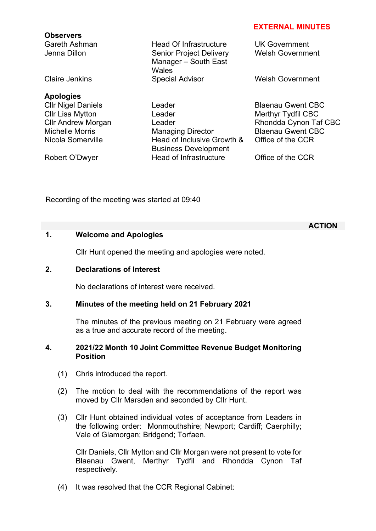#### **EXTERNAL MINUTES**

**Observers** Gareth Ashman Head Of Infrastructure UK Government Senior Project Delivery Manager – South East **Wales** Claire Jenkins **Special Advisor** Welsh Government **Apologies**  Cllr Nigel Daniels **Leader Click Leader** Blaenau Gwent CBC Cllr Lisa Mytton **Leader** Merthyr Tydfil CBC Cllr Andrew Morgan Leader Leader Rhondda Cynon Taf CBC Michelle Morris **Managing Director** Blaenau Gwent CBC Nicola Somerville Head of Inclusive Growth & Business Development Robert O'Dwyer **Head of Infrastructure** Office of the CCR

Welsh Government

Office of the CCR

Recording of the meeting was started at 09:40

# **1. Welcome and Apologies**

Cllr Hunt opened the meeting and apologies were noted.

# **2. Declarations of Interest**

No declarations of interest were received.

# **3. Minutes of the meeting held on 21 February 2021**

The minutes of the previous meeting on 21 February were agreed as a true and accurate record of the meeting.

#### **4. 2021/22 Month 10 Joint Committee Revenue Budget Monitoring Position**

- (1) Chris introduced the report.
- (2) The motion to deal with the recommendations of the report was moved by Cllr Marsden and seconded by Cllr Hunt.
- (3) Cllr Hunt obtained individual votes of acceptance from Leaders in the following order: Monmouthshire; Newport; Cardiff; Caerphilly; Vale of Glamorgan; Bridgend; Torfaen.

Cllr Daniels, Cllr Mytton and Cllr Morgan were not present to vote for Blaenau Gwent, Merthyr Tydfil and Rhondda Cynon Taf respectively.

(4) It was resolved that the CCR Regional Cabinet:

#### **ACTION**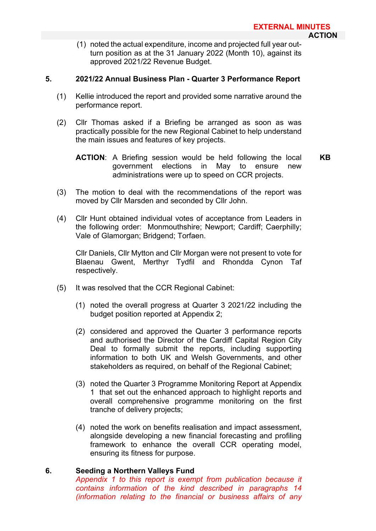(1) noted the actual expenditure, income and projected full year outturn position as at the 31 January 2022 (Month 10), against its approved 2021/22 Revenue Budget.

## **5. 2021/22 Annual Business Plan - Quarter 3 Performance Report**

- (1) Kellie introduced the report and provided some narrative around the performance report.
- (2) Cllr Thomas asked if a Briefing be arranged as soon as was practically possible for the new Regional Cabinet to help understand the main issues and features of key projects.

- (3) The motion to deal with the recommendations of the report was moved by Cllr Marsden and seconded by Cllr John.
- (4) Cllr Hunt obtained individual votes of acceptance from Leaders in the following order: Monmouthshire; Newport; Cardiff; Caerphilly; Vale of Glamorgan; Bridgend; Torfaen.

Cllr Daniels, Cllr Mytton and Cllr Morgan were not present to vote for Blaenau Gwent, Merthyr Tydfil and Rhondda Cynon Taf respectively.

- (5) It was resolved that the CCR Regional Cabinet:
	- (1) noted the overall progress at Quarter 3 2021/22 including the budget position reported at Appendix 2;
	- (2) considered and approved the Quarter 3 performance reports and authorised the Director of the Cardiff Capital Region City Deal to formally submit the reports, including supporting information to both UK and Welsh Governments, and other stakeholders as required, on behalf of the Regional Cabinet;
	- (3) noted the Quarter 3 Programme Monitoring Report at Appendix 1 that set out the enhanced approach to highlight reports and overall comprehensive programme monitoring on the first tranche of delivery projects;
	- (4) noted the work on benefits realisation and impact assessment, alongside developing a new financial forecasting and profiling framework to enhance the overall CCR operating model, ensuring its fitness for purpose.

# **6. Seeding a Northern Valleys Fund**

*Appendix 1 to this report is exempt from publication because it contains information of the kind described in paragraphs 14 (information relating to the financial or business affairs of any* 

**ACTION**: A Briefing session would be held following the local government elections in May to ensure new administrations were up to speed on CCR projects. **KB**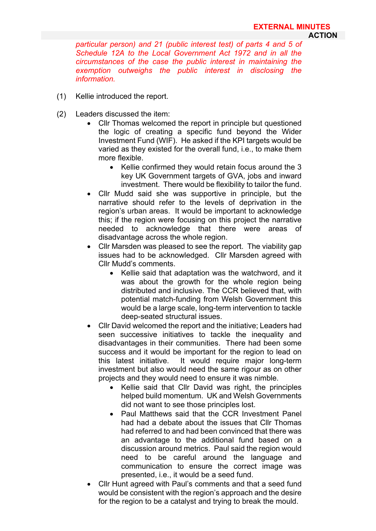*particular person) and 21 (public interest test) of parts 4 and 5 of Schedule 12A to the Local Government Act 1972 and in all the circumstances of the case the public interest in maintaining the exemption outweighs the public interest in disclosing the information.*

- (1) Kellie introduced the report.
- (2) Leaders discussed the item:
	- Cllr Thomas welcomed the report in principle but questioned the logic of creating a specific fund beyond the Wider Investment Fund (WIF). He asked if the KPI targets would be varied as they existed for the overall fund, i.e., to make them more flexible.
		- Kellie confirmed they would retain focus around the 3 key UK Government targets of GVA, jobs and inward investment. There would be flexibility to tailor the fund.
	- Cllr Mudd said she was supportive in principle, but the narrative should refer to the levels of deprivation in the region's urban areas. It would be important to acknowledge this; if the region were focusing on this project the narrative needed to acknowledge that there were areas of disadvantage across the whole region.
	- Cllr Marsden was pleased to see the report. The viability gap issues had to be acknowledged. Cllr Marsden agreed with Cllr Mudd's comments.
		- Kellie said that adaptation was the watchword, and it was about the growth for the whole region being distributed and inclusive. The CCR believed that, with potential match-funding from Welsh Government this would be a large scale, long-term intervention to tackle deep-seated structural issues.
	- Cllr David welcomed the report and the initiative; Leaders had seen successive initiatives to tackle the inequality and disadvantages in their communities. There had been some success and it would be important for the region to lead on this latest initiative. It would require major long-term investment but also would need the same rigour as on other projects and they would need to ensure it was nimble.
		- Kellie said that Cllr David was right, the principles helped build momentum. UK and Welsh Governments did not want to see those principles lost.
		- Paul Matthews said that the CCR Investment Panel had had a debate about the issues that Cllr Thomas had referred to and had been convinced that there was an advantage to the additional fund based on a discussion around metrics. Paul said the region would need to be careful around the language and communication to ensure the correct image was presented, i.e., it would be a seed fund.
	- Cllr Hunt agreed with Paul's comments and that a seed fund would be consistent with the region's approach and the desire for the region to be a catalyst and trying to break the mould.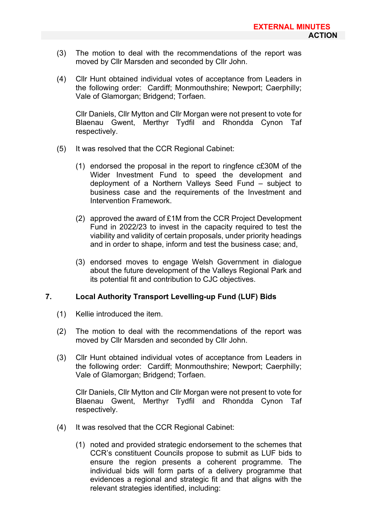- (3) The motion to deal with the recommendations of the report was moved by Cllr Marsden and seconded by Cllr John.
- (4) Cllr Hunt obtained individual votes of acceptance from Leaders in the following order: Cardiff; Monmouthshire; Newport; Caerphilly; Vale of Glamorgan; Bridgend; Torfaen.

Cllr Daniels, Cllr Mytton and Cllr Morgan were not present to vote for Blaenau Gwent, Merthyr Tydfil and Rhondda Cynon Taf respectively.

- (5) It was resolved that the CCR Regional Cabinet:
	- (1) endorsed the proposal in the report to ringfence c£30M of the Wider Investment Fund to speed the development and deployment of a Northern Valleys Seed Fund – subject to business case and the requirements of the Investment and Intervention Framework.
	- (2) approved the award of £1M from the CCR Project Development Fund in 2022/23 to invest in the capacity required to test the viability and validity of certain proposals, under priority headings and in order to shape, inform and test the business case; and,
	- (3) endorsed moves to engage Welsh Government in dialogue about the future development of the Valleys Regional Park and its potential fit and contribution to CJC objectives.

# **7. Local Authority Transport Levelling-up Fund (LUF) Bids**

- (1) Kellie introduced the item.
- (2) The motion to deal with the recommendations of the report was moved by Cllr Marsden and seconded by Cllr John.
- (3) Cllr Hunt obtained individual votes of acceptance from Leaders in the following order: Cardiff; Monmouthshire; Newport; Caerphilly; Vale of Glamorgan; Bridgend; Torfaen.

Cllr Daniels, Cllr Mytton and Cllr Morgan were not present to vote for Blaenau Gwent, Merthyr Tydfil and Rhondda Cynon Taf respectively.

- (4) It was resolved that the CCR Regional Cabinet:
	- (1) noted and provided strategic endorsement to the schemes that CCR's constituent Councils propose to submit as LUF bids to ensure the region presents a coherent programme. The individual bids will form parts of a delivery programme that evidences a regional and strategic fit and that aligns with the relevant strategies identified, including: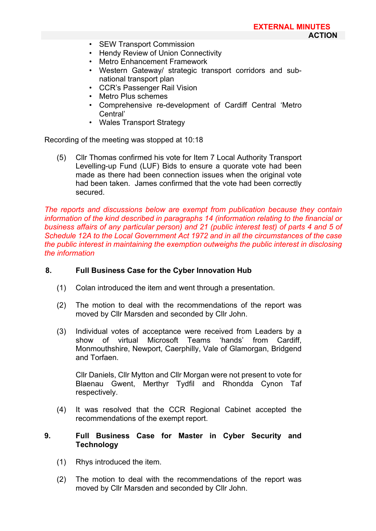- SEW Transport Commission
- Hendy Review of Union Connectivity
- Metro Enhancement Framework
- Western Gateway/ strategic transport corridors and subnational transport plan
- CCR's Passenger Rail Vision
- Metro Plus schemes
- Comprehensive re-development of Cardiff Central 'Metro Central'
- Wales Transport Strategy

Recording of the meeting was stopped at 10:18

(5) Cllr Thomas confirmed his vote for Item 7 Local Authority Transport Levelling-up Fund (LUF) Bids to ensure a quorate vote had been made as there had been connection issues when the original vote had been taken. James confirmed that the vote had been correctly secured.

*The reports and discussions below are exempt from publication because they contain information of the kind described in paragraphs 14 (information relating to the financial or business affairs of any particular person) and 21 (public interest test) of parts 4 and 5 of Schedule 12A to the Local Government Act 1972 and in all the circumstances of the case the public interest in maintaining the exemption outweighs the public interest in disclosing the information*

# **8. Full Business Case for the Cyber Innovation Hub**

- (1) Colan introduced the item and went through a presentation.
- (2) The motion to deal with the recommendations of the report was moved by Cllr Marsden and seconded by Cllr John.
- (3) Individual votes of acceptance were received from Leaders by a show of virtual Microsoft Teams 'hands' from Cardiff, Monmouthshire, Newport, Caerphilly, Vale of Glamorgan, Bridgend and Torfaen.

Cllr Daniels, Cllr Mytton and Cllr Morgan were not present to vote for Blaenau Gwent, Merthyr Tydfil and Rhondda Cynon Taf respectively.

- (4) It was resolved that the CCR Regional Cabinet accepted the recommendations of the exempt report.
- **9. Full Business Case for Master in Cyber Security and Technology**
	- (1) Rhys introduced the item.
	- (2) The motion to deal with the recommendations of the report was moved by Cllr Marsden and seconded by Cllr John.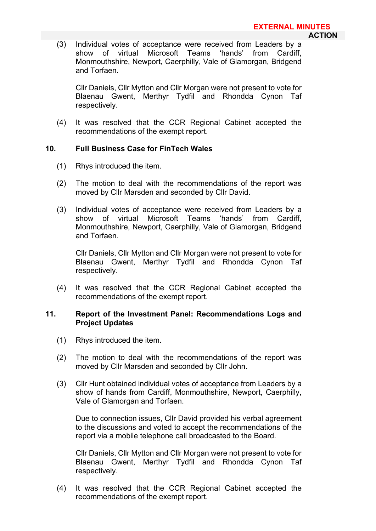(3) Individual votes of acceptance were received from Leaders by a show of virtual Microsoft Teams Monmouthshire, Newport, Caerphilly, Vale of Glamorgan, Bridgend and Torfaen.

Cllr Daniels, Cllr Mytton and Cllr Morgan were not present to vote for Blaenau Gwent, Merthyr Tydfil and Rhondda Cynon Taf respectively.

(4) It was resolved that the CCR Regional Cabinet accepted the recommendations of the exempt report.

# **10. Full Business Case for FinTech Wales**

- (1) Rhys introduced the item.
- (2) The motion to deal with the recommendations of the report was moved by Cllr Marsden and seconded by Cllr David.
- (3) Individual votes of acceptance were received from Leaders by a show of virtual Microsoft Teams 'hands' from Cardiff, Monmouthshire, Newport, Caerphilly, Vale of Glamorgan, Bridgend and Torfaen.

Cllr Daniels, Cllr Mytton and Cllr Morgan were not present to vote for Blaenau Gwent, Merthyr Tydfil and Rhondda Cynon Taf respectively.

(4) It was resolved that the CCR Regional Cabinet accepted the recommendations of the exempt report.

### **11. Report of the Investment Panel: Recommendations Logs and Project Updates**

- (1) Rhys introduced the item.
- (2) The motion to deal with the recommendations of the report was moved by Cllr Marsden and seconded by Cllr John.
- (3) Cllr Hunt obtained individual votes of acceptance from Leaders by a show of hands from Cardiff, Monmouthshire, Newport, Caerphilly, Vale of Glamorgan and Torfaen.

Due to connection issues, Cllr David provided his verbal agreement to the discussions and voted to accept the recommendations of the report via a mobile telephone call broadcasted to the Board.

Cllr Daniels, Cllr Mytton and Cllr Morgan were not present to vote for Blaenau Gwent, Merthyr Tydfil and Rhondda Cynon Taf respectively.

(4) It was resolved that the CCR Regional Cabinet accepted the recommendations of the exempt report.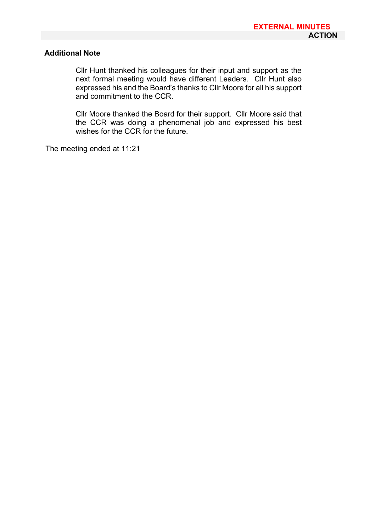# **Additional Note**

Cllr Hunt thanked his colleagues for their input and support as the next formal meeting would have different Leaders. Cllr Hunt also expressed his and the Board's thanks to Cllr Moore for all his support and commitment to the CCR.

Cllr Moore thanked the Board for their support. Cllr Moore said that the CCR was doing a phenomenal job and expressed his best wishes for the CCR for the future.

The meeting ended at 11:21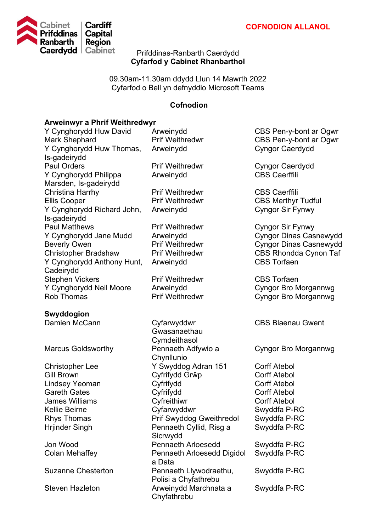

# Prifddinas-Ranbarth Caerdydd **Cyfarfod y Cabinet Rhanbarthol**

09.30am-11.30am ddydd Llun 14 Mawrth 2022 Cyfarfod o Bell yn defnyddio Microsoft Teams

# **Cofnodion**

# **Arweinwyr a Phrif Weithredwyr**

| Y Cynghorydd Huw David                     | Arweinydd                            | CBS Pen-y-bont ar Ogwr        |
|--------------------------------------------|--------------------------------------|-------------------------------|
| <b>Mark Shephard</b>                       | <b>Prif Weithredwr</b>               | CBS Pen-y-bont ar Ogwr        |
| Y Cynghorydd Huw Thomas,                   | Arweinydd                            | <b>Cyngor Caerdydd</b>        |
| Is-gadeirydd                               |                                      |                               |
| <b>Paul Orders</b>                         | <b>Prif Weithredwr</b>               | <b>Cyngor Caerdydd</b>        |
| Y Cynghorydd Philippa                      | Arweinydd                            | <b>CBS Caerffili</b>          |
| Marsden, Is-gadeirydd                      |                                      |                               |
| <b>Christina Harrhy</b>                    | <b>Prif Weithredwr</b>               | <b>CBS Caerffili</b>          |
| <b>Ellis Cooper</b>                        | <b>Prif Weithredwr</b>               | <b>CBS Merthyr Tudful</b>     |
| Y Cynghorydd Richard John,<br>Is-gadeirydd | Arweinydd                            | <b>Cyngor Sir Fynwy</b>       |
| <b>Paul Matthews</b>                       | <b>Prif Weithredwr</b>               | <b>Cyngor Sir Fynwy</b>       |
| Y Cynghorydd Jane Mudd                     | Arweinydd                            | <b>Cyngor Dinas Casnewydd</b> |
| <b>Beverly Owen</b>                        | <b>Prif Weithredwr</b>               | <b>Cyngor Dinas Casnewydd</b> |
| <b>Christopher Bradshaw</b>                | <b>Prif Weithredwr</b>               | <b>CBS Rhondda Cynon Taf</b>  |
| Y Cynghorydd Anthony Hunt,                 | Arweinydd                            | <b>CBS Torfaen</b>            |
| Cadeirydd                                  |                                      |                               |
| <b>Stephen Vickers</b>                     | <b>Prif Weithredwr</b>               | <b>CBS</b> Torfaen            |
| Y Cynghorydd Neil Moore                    | Arweinydd                            | <b>Cyngor Bro Morgannwg</b>   |
| <b>Rob Thomas</b>                          | <b>Prif Weithredwr</b>               | <b>Cyngor Bro Morgannwg</b>   |
|                                            |                                      |                               |
| Swyddogion                                 |                                      |                               |
| Damien McCann                              | Cyfarwyddwr                          | <b>CBS Blaenau Gwent</b>      |
|                                            | Gwasanaethau                         |                               |
|                                            | Cymdeithasol                         |                               |
| <b>Marcus Goldsworthy</b>                  | Pennaeth Adfywio a<br>Chynllunio     | Cyngor Bro Morgannwg          |
| <b>Christopher Lee</b>                     | Y Swyddog Adran 151                  | <b>Corff Atebol</b>           |
| <b>Gill Brown</b>                          | Cyfrifydd Grŵp                       | <b>Corff Atebol</b>           |
| <b>Lindsey Yeoman</b>                      | Cyfrifydd                            | <b>Corff Atebol</b>           |
| <b>Gareth Gates</b>                        | Cyfrifydd                            | <b>Corff Atebol</b>           |
| <b>James Williams</b>                      | Cyfreithiwr                          | <b>Corff Atebol</b>           |
| <b>Kellie Beirne</b>                       | Cyfarwyddwr                          | Swyddfa P-RC                  |
| <b>Rhys Thomas</b>                         | <b>Prif Swyddog Gweithredol</b>      | Swyddfa P-RC                  |
| <b>Hrjinder Singh</b>                      | Pennaeth Cyllid, Risg a              | Swyddfa P-RC                  |
|                                            | Sicrwydd                             |                               |
| Jon Wood                                   | <b>Pennaeth Arloesedd</b>            | Swyddfa P-RC                  |
| <b>Colan Mehaffey</b>                      | Pennaeth Arloesedd Digidol           | Swyddfa P-RC                  |
|                                            | a Data                               |                               |
| <b>Suzanne Chesterton</b>                  | Pennaeth Llywodraethu,               | Swyddfa P-RC                  |
|                                            | Polisi a Chyfathrebu                 |                               |
| <b>Steven Hazleton</b>                     | Arweinydd Marchnata a<br>Chyfathrebu | Swyddfa P-RC                  |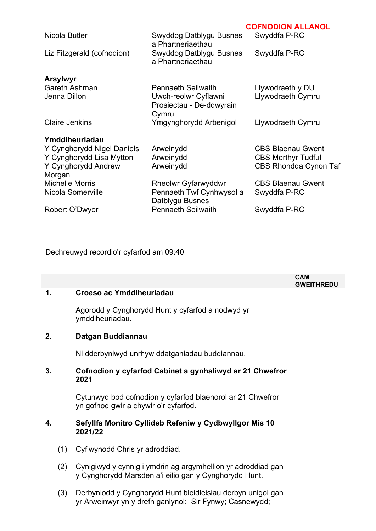| Nicola Butler<br>Liz Fitzgerald (cofnodion)                                                     | Swyddog Datblygu Busnes<br>a Phartneriaethau<br>Swyddog Datblygu Busnes<br>a Phartneriaethau           | UUI NUDIUN ALLANUL<br>Swyddfa P-RC<br>Swyddfa P-RC                                    |
|-------------------------------------------------------------------------------------------------|--------------------------------------------------------------------------------------------------------|---------------------------------------------------------------------------------------|
| <b>Arsylwyr</b><br><b>Gareth Ashman</b><br>Jenna Dillon                                         | <b>Pennaeth Seilwaith</b><br>Uwch-reolwr Cyflawni<br>Prosiectau - De-ddwyrain                          | Llywodraeth y DU<br>Llywodraeth Cymru                                                 |
| <b>Claire Jenkins</b>                                                                           | Cymru<br>Ymgynghorydd Arbenigol                                                                        | Llywodraeth Cymru                                                                     |
| Ymddiheuriadau<br>Y Cynghorydd Nigel Daniels<br>Y Cynghorydd Lisa Mytton<br>Y Cynghorydd Andrew | Arweinydd<br>Arweinydd<br>Arweinydd                                                                    | <b>CBS Blaenau Gwent</b><br><b>CBS Merthyr Tudful</b><br><b>CBS Rhondda Cynon Taf</b> |
| Morgan<br><b>Michelle Morris</b><br>Nicola Somerville<br>Robert O'Dwyer                         | <b>Rheolwr Gyfarwyddwr</b><br>Pennaeth Twf Cynhwysol a<br>Datblygu Busnes<br><b>Pennaeth Seilwaith</b> | <b>CBS Blaenau Gwent</b><br>Swyddfa P-RC<br>Swyddfa P-RC                              |
|                                                                                                 |                                                                                                        |                                                                                       |

**COFNODION ALLANOL**

Dechreuwyd recordio'r cyfarfod am 09:40

|               |     |                                                                                                                       | <b>CAM</b><br><b>GWEITHREDU</b> |
|---------------|-----|-----------------------------------------------------------------------------------------------------------------------|---------------------------------|
| $\mathbf 1$ . |     | Croeso ac Ymddiheuriadau                                                                                              |                                 |
|               |     | Agorodd y Cynghorydd Hunt y cyfarfod a nodwyd yr<br>ymddiheuriadau.                                                   |                                 |
| 2.            |     | Datgan Buddiannau                                                                                                     |                                 |
|               |     | Ni dderbyniwyd unrhyw ddatganiadau buddiannau.                                                                        |                                 |
| 3.            |     | Cofnodion y cyfarfod Cabinet a gynhaliwyd ar 21 Chwefror<br>2021                                                      |                                 |
|               |     | Cytunwyd bod cofnodion y cyfarfod blaenorol ar 21 Chwefror<br>yn gofnod gwir a chywir o'r cyfarfod.                   |                                 |
| 4.            |     | Sefyllfa Monitro Cyllideb Refeniw y Cydbwyllgor Mis 10<br>2021/22                                                     |                                 |
|               | (1) | Cyflwynodd Chris yr adroddiad.                                                                                        |                                 |
|               | (2) | Cynigiwyd y cynnig i ymdrin ag argymhellion yr adroddiad gan<br>y Cynghorydd Marsden a'i eilio gan y Cynghorydd Hunt. |                                 |

(3) Derbyniodd y Cynghorydd Hunt bleidleisiau derbyn unigol gan yr Arweinwyr yn y drefn ganlynol: Sir Fynwy; Casnewydd;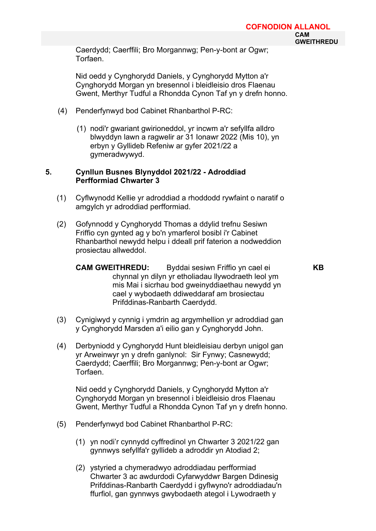Caerdydd; Caerffili; Bro Morgannwg; Pen-y-bont ar Ogwr; **Torfaen** 

Nid oedd y Cynghorydd Daniels, y Cynghorydd Mytton a'r Cynghorydd Morgan yn bresennol i bleidleisio dros Flaenau Gwent, Merthyr Tudful a Rhondda Cynon Taf yn y drefn honno.

- (4) Penderfynwyd bod Cabinet Rhanbarthol P-RC:
	- (1) nodi'r gwariant gwirioneddol, yr incwm a'r sefyllfa alldro blwyddyn lawn a ragwelir ar 31 Ionawr 2022 (Mis 10), yn erbyn y Gyllideb Refeniw ar gyfer 2021/22 a gymeradwywyd.

## **5. Cynllun Busnes Blynyddol 2021/22 - Adroddiad Perfformiad Chwarter 3**

- (1) Cyflwynodd Kellie yr adroddiad a rhoddodd rywfaint o naratif o amgylch yr adroddiad perfformiad.
- (2) Gofynnodd y Cynghorydd Thomas a ddylid trefnu Sesiwn Friffio cyn gynted ag y bo'n ymarferol bosibl i'r Cabinet Rhanbarthol newydd helpu i ddeall prif faterion a nodweddion prosiectau allweddol.
	- **CAM GWEITHREDU:** Byddai sesiwn Friffio yn cael ei chynnal yn dilyn yr etholiadau llywodraeth leol ym mis Mai i sicrhau bod gweinyddiaethau newydd yn cael y wybodaeth ddiweddaraf am brosiectau Prifddinas-Ranbarth Caerdydd.
- (3) Cynigiwyd y cynnig i ymdrin ag argymhellion yr adroddiad gan y Cynghorydd Marsden a'i eilio gan y Cynghorydd John.
- (4) Derbyniodd y Cynghorydd Hunt bleidleisiau derbyn unigol gan yr Arweinwyr yn y drefn ganlynol: Sir Fynwy; Casnewydd; Caerdydd; Caerffili; Bro Morgannwg; Pen-y-bont ar Ogwr; Torfaen.

Nid oedd y Cynghorydd Daniels, y Cynghorydd Mytton a'r Cynghorydd Morgan yn bresennol i bleidleisio dros Flaenau Gwent, Merthyr Tudful a Rhondda Cynon Taf yn y drefn honno.

- (5) Penderfynwyd bod Cabinet Rhanbarthol P-RC:
	- (1) yn nodi'r cynnydd cyffredinol yn Chwarter 3 2021/22 gan gynnwys sefyllfa'r gyllideb a adroddir yn Atodiad 2;
	- (2) ystyried a chymeradwyo adroddiadau perfformiad Chwarter 3 ac awdurdodi Cyfarwyddwr Bargen Ddinesig Prifddinas-Ranbarth Caerdydd i gyflwyno'r adroddiadau'n ffurfiol, gan gynnwys gwybodaeth ategol i Lywodraeth y

**KB**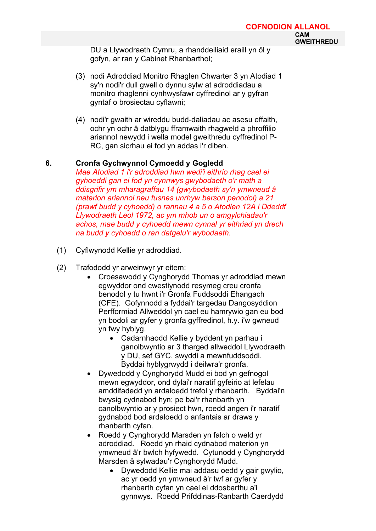DU a Llywodraeth Cymru, a rhanddeiliaid eraill yn ôl y gofyn, ar ran y Cabinet Rhanbarthol;

- (3) nodi Adroddiad Monitro Rhaglen Chwarter 3 yn Atodiad 1 sy'n nodi'r dull gwell o dynnu sylw at adroddiadau a monitro rhaglenni cynhwysfawr cyffredinol ar y gyfran gyntaf o brosiectau cyflawni;
- (4) nodi'r gwaith ar wireddu budd-daliadau ac asesu effaith, ochr yn ochr â datblygu fframwaith rhagweld a phroffilio ariannol newydd i wella model gweithredu cyffredinol P-RC, gan sicrhau ei fod yn addas i'r diben.
- **6. Cronfa Gychwynnol Cymoedd y Gogledd** *Mae Atodiad 1 i'r adroddiad hwn wedi'i eithrio rhag cael ei gyhoeddi gan ei fod yn cynnwys gwybodaeth o'r math a ddisgrifir ym mharagraffau 14 (gwybodaeth sy'n ymwneud â materion ariannol neu fusnes unrhyw berson penodol) a 21 (prawf budd y cyhoedd) o rannau 4 a 5 o Atodlen 12A i Ddeddf Llywodraeth Leol 1972, ac ym mhob un o amgylchiadau'r achos, mae budd y cyhoedd mewn cynnal yr eithriad yn drech na budd y cyhoedd o ran datgelu'r wybodaeth.*
	- (1) Cyflwynodd Kellie yr adroddiad.
	- (2) Trafododd yr arweinwyr yr eitem:
		- Croesawodd y Cynghorydd Thomas yr adroddiad mewn egwyddor ond cwestiynodd resymeg creu cronfa benodol y tu hwnt i'r Gronfa Fuddsoddi Ehangach (CFE). Gofynnodd a fyddai'r targedau Dangosyddion Perfformiad Allweddol yn cael eu hamrywio gan eu bod yn bodoli ar gyfer y gronfa gyffredinol, h.y. i'w gwneud yn fwy hyblyg.
			- Cadarnhaodd Kellie y byddent yn parhau i ganolbwyntio ar 3 tharged allweddol Llywodraeth y DU, sef GYC, swyddi a mewnfuddsoddi. Byddai hyblygrwydd i deilwra'r gronfa.
		- Dywedodd y Cynghorydd Mudd ei bod yn gefnogol mewn egwyddor, ond dylai'r naratif gyfeirio at lefelau amddifadedd yn ardaloedd trefol y rhanbarth. Byddai'n bwysig cydnabod hyn; pe bai'r rhanbarth yn canolbwyntio ar y prosiect hwn, roedd angen i'r naratif gydnabod bod ardaloedd o anfantais ar draws y rhanbarth cyfan.
		- Roedd y Cynghorydd Marsden yn falch o weld yr adroddiad. Roedd yn rhaid cydnabod materion yn ymwneud â'r bwlch hyfywedd. Cytunodd y Cynghorydd Marsden â sylwadau'r Cynghorydd Mudd.
			- Dywedodd Kellie mai addasu oedd y gair gwylio, ac yr oedd yn ymwneud â'r twf ar gyfer y rhanbarth cyfan yn cael ei ddosbarthu a'i gynnwys. Roedd Prifddinas-Ranbarth Caerdydd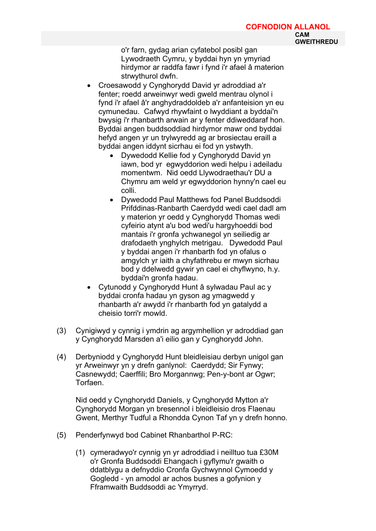o'r farn, gydag arian cyfatebol posibl gan Lywodraeth Cymru, y byddai hyn yn ymyriad hirdymor ar raddfa fawr i fynd i'r afael â materion strwythurol dwfn.

- Croesawodd y Cynghorydd David yr adroddiad a'r fenter; roedd arweinwyr wedi gweld mentrau olynol i fynd i'r afael â'r anghydraddoldeb a'r anfanteision yn eu cymunedau. Cafwyd rhywfaint o lwyddiant a byddai'n bwysig i'r rhanbarth arwain ar y fenter ddiweddaraf hon. Byddai angen buddsoddiad hirdymor mawr ond byddai hefyd angen yr un trylwyredd ag ar brosiectau eraill a byddai angen iddynt sicrhau ei fod yn ystwyth.
	- Dywedodd Kellie fod y Cynghorydd David yn iawn, bod yr egwyddorion wedi helpu i adeiladu momentwm. Nid oedd Llywodraethau'r DU a Chymru am weld yr egwyddorion hynny'n cael eu colli.
	- Dywedodd Paul Matthews fod Panel Buddsoddi Prifddinas-Ranbarth Caerdydd wedi cael dadl am y materion yr oedd y Cynghorydd Thomas wedi cyfeirio atynt a'u bod wedi'u hargyhoeddi bod mantais i'r gronfa ychwanegol yn seiliedig ar drafodaeth ynghylch metrigau. Dywedodd Paul y byddai angen i'r rhanbarth fod yn ofalus o amgylch yr iaith a chyfathrebu er mwyn sicrhau bod y ddelwedd gywir yn cael ei chyflwyno, h.y. byddai'n gronfa hadau.
- Cytunodd y Cynghorydd Hunt â sylwadau Paul ac y byddai cronfa hadau yn gyson ag ymagwedd y rhanbarth a'r awydd i'r rhanbarth fod yn gatalydd a cheisio torri'r mowld.
- (3) Cynigiwyd y cynnig i ymdrin ag argymhellion yr adroddiad gan y Cynghorydd Marsden a'i eilio gan y Cynghorydd John.
- (4) Derbyniodd y Cynghorydd Hunt bleidleisiau derbyn unigol gan yr Arweinwyr yn y drefn ganlynol: Caerdydd; Sir Fynwy; Casnewydd; Caerffili; Bro Morgannwg; Pen-y-bont ar Ogwr; Torfaen.

Nid oedd y Cynghorydd Daniels, y Cynghorydd Mytton a'r Cynghorydd Morgan yn bresennol i bleidleisio dros Flaenau Gwent, Merthyr Tudful a Rhondda Cynon Taf yn y drefn honno.

- (5) Penderfynwyd bod Cabinet Rhanbarthol P-RC:
	- (1) cymeradwyo'r cynnig yn yr adroddiad i neilltuo tua £30M o'r Gronfa Buddsoddi Ehangach i gyflymu'r gwaith o ddatblygu a defnyddio Cronfa Gychwynnol Cymoedd y Gogledd - yn amodol ar achos busnes a gofynion y Fframwaith Buddsoddi ac Ymyrryd.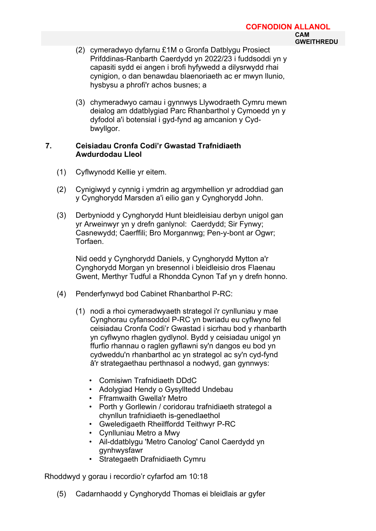- (2) cymeradwyo dyfarnu £1M o Gronfa Datblygu Prosiect Prifddinas-Ranbarth Caerdydd yn 2022/23 i fuddsoddi yn y capasiti sydd ei angen i brofi hyfywedd a dilysrwydd rhai cynigion, o dan benawdau blaenoriaeth ac er mwyn llunio, hysbysu a phrofi'r achos busnes; a
- (3) chymeradwyo camau i gynnwys Llywodraeth Cymru mewn deialog am ddatblygiad Parc Rhanbarthol y Cymoedd yn y dyfodol a'i botensial i gyd-fynd ag amcanion y Cydbwyllgor.

# **7. Ceisiadau Cronfa Codi'r Gwastad Trafnidiaeth Awdurdodau Lleol**

- (1) Cyflwynodd Kellie yr eitem.
- (2) Cynigiwyd y cynnig i ymdrin ag argymhellion yr adroddiad gan y Cynghorydd Marsden a'i eilio gan y Cynghorydd John.
- (3) Derbyniodd y Cynghorydd Hunt bleidleisiau derbyn unigol gan yr Arweinwyr yn y drefn ganlynol: Caerdydd; Sir Fynwy; Casnewydd; Caerffili; Bro Morgannwg; Pen-y-bont ar Ogwr; Torfaen.

Nid oedd y Cynghorydd Daniels, y Cynghorydd Mytton a'r Cynghorydd Morgan yn bresennol i bleidleisio dros Flaenau Gwent, Merthyr Tudful a Rhondda Cynon Taf yn y drefn honno.

- (4) Penderfynwyd bod Cabinet Rhanbarthol P-RC:
	- (1) nodi a rhoi cymeradwyaeth strategol i'r cynlluniau y mae Cynghorau cyfansoddol P-RC yn bwriadu eu cyflwyno fel ceisiadau Cronfa Codi'r Gwastad i sicrhau bod y rhanbarth yn cyflwyno rhaglen gydlynol. Bydd y ceisiadau unigol yn ffurfio rhannau o raglen gyflawni sy'n dangos eu bod yn cydweddu'n rhanbarthol ac yn strategol ac sy'n cyd-fynd â'r strategaethau perthnasol a nodwyd, gan gynnwys:
		- Comisiwn Trafnidiaeth DDdC
		- Adolygiad Hendy o Gysylltedd Undebau
		- Fframwaith Gwella'r Metro
		- Porth y Gorllewin / coridorau trafnidiaeth strategol a chynllun trafnidiaeth is-genedlaethol
		- Gweledigaeth Rheilffordd Teithwyr P-RC
		- Cynlluniau Metro a Mwy
		- Ail-ddatblygu 'Metro Canolog' Canol Caerdydd yn gynhwysfawr
		- Strategaeth Drafnidiaeth Cymru

Rhoddwyd y gorau i recordio'r cyfarfod am 10:18

(5) Cadarnhaodd y Cynghorydd Thomas ei bleidlais ar gyfer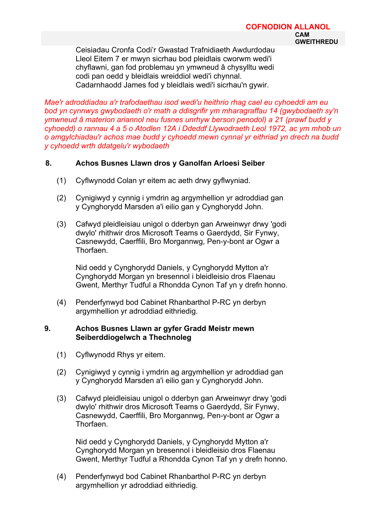#### **COFNODION ALLANOL CAM GWEITHREDU**

Ceisiadau Cronfa Codi'r Gwastad Trafnidiaeth Awdurdodau Lleol Eitem 7 er mwyn sicrhau bod pleidlais cworwm wedi'i chyflawni, gan fod problemau yn ymwneud â chysylltu wedi codi pan oedd y bleidlais wreiddiol wedi'i chynnal. Cadarnhaodd James fod y bleidlais wedi'i sicrhau'n gywir.

*Mae'r adroddiadau a'r trafodaethau isod wedi'u heithrio rhag cael eu cyhoeddi am eu bod yn cynnwys gwybodaeth o'r math a ddisgrifir ym mharagraffau 14 (gwybodaeth sy'n ymwneud â materion ariannol neu fusnes unrhyw berson penodol) a 21 (prawf budd y cyhoedd) o rannau 4 a 5 o Atodlen 12A i Ddeddf Llywodraeth Leol 1972, ac ym mhob un o amgylchiadau'r achos mae budd y cyhoedd mewn cynnal yr eithriad yn drech na budd y cyhoedd wrth ddatgelu'r wybodaeth*

# **8. Achos Busnes Llawn dros y Ganolfan Arloesi Seiber**

- (1) Cyflwynodd Colan yr eitem ac aeth drwy gyflwyniad.
- (2) Cynigiwyd y cynnig i ymdrin ag argymhellion yr adroddiad gan y Cynghorydd Marsden a'i eilio gan y Cynghorydd John.
- (3) Cafwyd pleidleisiau unigol o dderbyn gan Arweinwyr drwy 'godi dwylo' rhithwir dros Microsoft Teams o Gaerdydd, Sir Fynwy, Casnewydd, Caerffili, Bro Morgannwg, Pen-y-bont ar Ogwr a Thorfaen.

Nid oedd y Cynghorydd Daniels, y Cynghorydd Mytton a'r Cynghorydd Morgan yn bresennol i bleidleisio dros Flaenau Gwent, Merthyr Tudful a Rhondda Cynon Taf yn y drefn honno.

(4) Penderfynwyd bod Cabinet Rhanbarthol P-RC yn derbyn argymhellion yr adroddiad eithriedig.

# **9. Achos Busnes Llawn ar gyfer Gradd Meistr mewn Seiberddiogelwch a Thechnoleg**

- (1) Cyflwynodd Rhys yr eitem.
- (2) Cynigiwyd y cynnig i ymdrin ag argymhellion yr adroddiad gan y Cynghorydd Marsden a'i eilio gan y Cynghorydd John.
- (3) Cafwyd pleidleisiau unigol o dderbyn gan Arweinwyr drwy 'godi dwylo' rhithwir dros Microsoft Teams o Gaerdydd, Sir Fynwy, Casnewydd, Caerffili, Bro Morgannwg, Pen-y-bont ar Ogwr a Thorfaen.

Nid oedd y Cynghorydd Daniels, y Cynghorydd Mytton a'r Cynghorydd Morgan yn bresennol i bleidleisio dros Flaenau Gwent, Merthyr Tudful a Rhondda Cynon Taf yn y drefn honno.

(4) Penderfynwyd bod Cabinet Rhanbarthol P-RC yn derbyn argymhellion yr adroddiad eithriedig.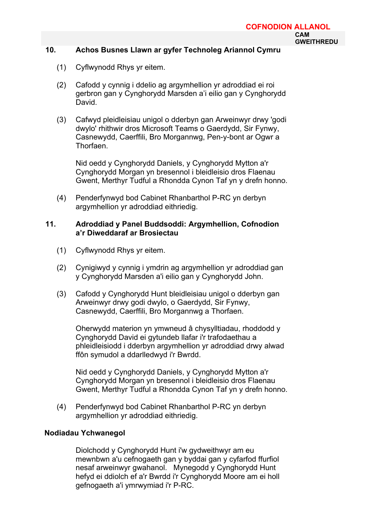#### **10. Achos Busnes Llawn ar gyfer Technoleg Ariannol Cymru**

- (1) Cyflwynodd Rhys yr eitem.
- (2) Cafodd y cynnig i ddelio ag argymhellion yr adroddiad ei roi gerbron gan y Cynghorydd Marsden a'i eilio gan y Cynghorydd David.
- (3) Cafwyd pleidleisiau unigol o dderbyn gan Arweinwyr drwy 'godi dwylo' rhithwir dros Microsoft Teams o Gaerdydd, Sir Fynwy, Casnewydd, Caerffili, Bro Morgannwg, Pen-y-bont ar Ogwr a Thorfaen.

Nid oedd y Cynghorydd Daniels, y Cynghorydd Mytton a'r Cynghorydd Morgan yn bresennol i bleidleisio dros Flaenau Gwent, Merthyr Tudful a Rhondda Cynon Taf yn y drefn honno.

(4) Penderfynwyd bod Cabinet Rhanbarthol P-RC yn derbyn argymhellion yr adroddiad eithriedig.

### **11. Adroddiad y Panel Buddsoddi: Argymhellion, Cofnodion a'r Diweddaraf ar Brosiectau**

- (1) Cyflwynodd Rhys yr eitem.
- (2) Cynigiwyd y cynnig i ymdrin ag argymhellion yr adroddiad gan y Cynghorydd Marsden a'i eilio gan y Cynghorydd John.
- (3) Cafodd y Cynghorydd Hunt bleidleisiau unigol o dderbyn gan Arweinwyr drwy godi dwylo, o Gaerdydd, Sir Fynwy, Casnewydd, Caerffili, Bro Morgannwg a Thorfaen.

Oherwydd materion yn ymwneud â chysylltiadau, rhoddodd y Cynghorydd David ei gytundeb llafar i'r trafodaethau a phleidleisiodd i dderbyn argymhellion yr adroddiad drwy alwad ffôn symudol a ddarlledwyd i'r Bwrdd.

Nid oedd y Cynghorydd Daniels, y Cynghorydd Mytton a'r Cynghorydd Morgan yn bresennol i bleidleisio dros Flaenau Gwent, Merthyr Tudful a Rhondda Cynon Taf yn y drefn honno.

(4) Penderfynwyd bod Cabinet Rhanbarthol P-RC yn derbyn argymhellion yr adroddiad eithriedig.

# **Nodiadau Ychwanegol**

Diolchodd y Cynghorydd Hunt i'w gydweithwyr am eu mewnbwn a'u cefnogaeth gan y byddai gan y cyfarfod ffurfiol nesaf arweinwyr gwahanol. Mynegodd y Cynghorydd Hunt hefyd ei ddiolch ef a'r Bwrdd i'r Cynghorydd Moore am ei holl gefnogaeth a'i ymrwymiad i'r P-RC.